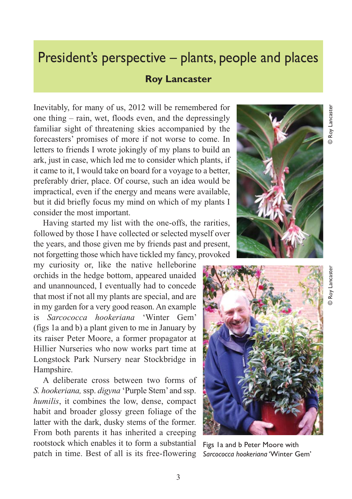## President's perspective – plants, people and places

## **Roy Lancaster**

Inevitably, for many of us, 2012 will be remembered for one thing – rain, wet, floods even, and the depressingly familiar sight of threatening skies accompanied by the forecasters' promises of more if not worse to come. In letters to friends I wrote jokingly of my plans to build an ark, just in case, which led me to consider which plants, if it came to it, I would take on board for a voyage to a better, preferably drier, place. Of course, such an idea would be impractical, even if the energy and means were available, but it did briefly focus my mind on which of my plants I consider the most important.

Having started my list with the one-offs, the rarities, followed by those I have collected or selected myself over the years, and those given me by friends past and present, not forgetting those which have tickled my fancy, provoked

my curiosity or, like the native helleborine orchids in the hedge bottom, appeared unaided and unannounced, I eventually had to concede that most if not all my plants are special, and are in my garden for a very good reason. An example is *Sarcococca hookeriana* 'Winter Gem' (figs 1a and b) a plant given to me in January by its raiser Peter Moore, a former propagator at Hillier Nurseries who now works part time at Longstock Park Nursery near Stockbridge in Hampshire.

A deliberate cross between two forms of *S. hookeriana,*ssp. *digyna* 'Purple Stem' and ssp. *humilis*, it combines the low, dense, compact habit and broader glossy green foliage of the latter with the dark, dusky stems of the former. From both parents it has inherited a creeping rootstock which enables it to form a substantial patch in time. Best of all is its free-flowering





Figs 1a and b Peter Moore with *Sarcococca hookeriana* 'Winter Gem'

© Roy Lancaster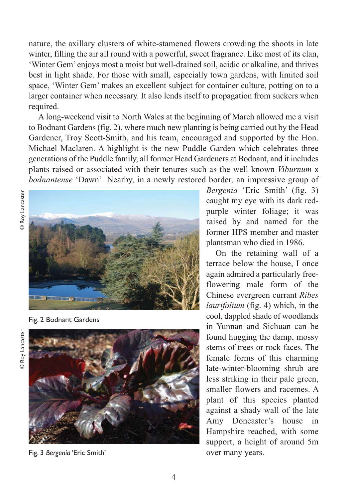nature, the axillary clusters of white-stamened flowers crowding the shoots in late winter, filling the air all round with a powerful, sweet fragrance. Like most of its clan, 'Winter Gem' enjoys most a moist but well-drained soil, acidic or alkaline, and thrives best in light shade. For those with small, especially town gardens, with limited soil space, 'Winter Gem' makes an excellent subject for container culture, potting on to a larger container when necessary. It also lends itself to propagation from suckers when required.

A long-weekend visit to North Wales at the beginning of March allowed me a visit to Bodnant Gardens (fig. 2), where much new planting is being carried out by the Head Gardener, Troy Scott-Smith, and his team, encouraged and supported by the Hon. Michael Maclaren. A highlight is the new Puddle Garden which celebrates three generations of the Puddle family, all former Head Gardeners at Bodnant, and it includes plants raised or associated with their tenures such as the well known *Viburnum* x *bodnantense* 'Dawn'. Nearby, in a newly restored border, an impressive group of



Fig. 2 Bodnant Gardens





Fig. 3 Bergenia 'Eric Smith' **biggeria** over many years.

*Bergenia* 'Eric Smith' (fig. 3) caught my eye with its dark redpurple winter foliage; it was raised by and named for the former HPS member and master plantsman who died in 1986.

On the retaining wall of a terrace below the house, I once again admired a particularly freeflowering male form of the Chinese evergreen currant *Ribes laurifolium* (fig. 4) which, in the cool, dappled shade of woodlands in Yunnan and Sichuan can be found hugging the damp, mossy stems of trees or rock faces. The female forms of this charming late-winter-blooming shrub are less striking in their pale green, smaller flowers and racemes. A plant of this species planted against a shady wall of the late Amy Doncaster's house in Hampshire reached, with some support, a height of around 5m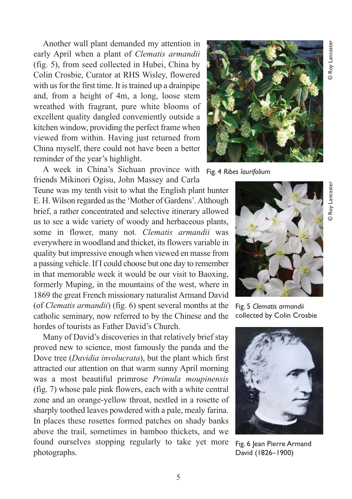Another wall plant demanded my attention in early April when a plant of *Clematis armandii* (fig. 5), from seed collected in Hubei, China by Colin Crosbie, Curator at RHS Wisley, flowered with us for the first time. It is trained up a drainpipe and, from a height of 4m, a long, loose stem wreathed with fragrant, pure white blooms of excellent quality dangled conveniently outside a kitchen window, providing the perfect frame when viewed from within. Having just returned from China myself, there could not have been a better reminder of the year's highlight.

A week in China's Sichuan province with friends Mikinori Ogisu, John Massey and Carla

Teune was my tenth visit to what the English plant hunter E. H. Wilson regarded as the 'Mother of Gardens'. Although brief, a rather concentrated and selective itinerary allowed us to see a wide variety of woody and herbaceous plants, some in flower, many not. *Clematis armandii* was everywhere in woodland and thicket, its flowers variable in quality but impressive enough when viewed en masse from a passing vehicle. If I could choose but one day to remember in that memorable week it would be our visit to Baoxing, formerly Muping, in the mountains of the west, where in 1869 the great French missionary naturalist Armand David (of *Clematis armandii*) (fig. 6) spent several months at the catholic seminary, now referred to by the Chinese and the hordes of tourists as Father David's Church.

Many of David's discoveries in that relatively brief stay proved new to science, most famously the panda and the Dove tree (*Davidia involucrata*), but the plant which first attracted our attention on that warm sunny April morning was a most beautiful primrose *Primula moupinensis* (fig. 7) whose pale pink flowers, each with a white central zone and an orange-yellow throat, nestled in a rosette of sharply toothed leaves powdered with a pale, mealy farina. In places these rosettes formed patches on shady banks above the trail, sometimes in bamboo thickets, and we found ourselves stopping regularly to take yet more photographs.



Fig. 4 *Ribes laurifolium*



Fig. 5 *Clematis armandii* collected by Colin Crosbie



Fig. 6 Jean Pierre Armand David (1826–1900)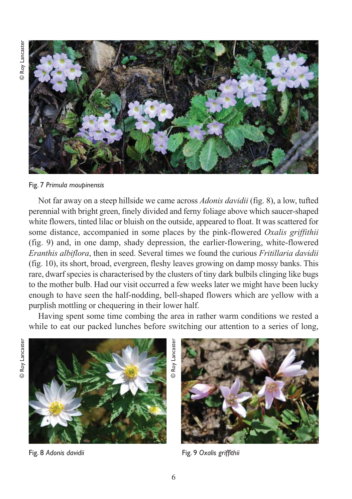

Fig. 7 *Primula moupinensis*

Not far away on a steep hillside we came across *Adonis davidii* (fig. 8), a low, tufted perennial with bright green, finely divided and ferny foliage above which saucer-shaped white flowers, tinted lilac or bluish on the outside, appeared to float. It was scattered for some distance, accompanied in some places by the pink-flowered *Oxalis griffithii* (fig. 9) and, in one damp, shady depression, the earlier-flowering, white-flowered *Eranthis albiflora*, then in seed. Several times we found the curious *Fritillaria davidii* (fig. 10), its short, broad, evergreen, fleshy leaves growing on damp mossy banks. This rare, dwarf species is characterised by the clusters of tiny dark bulbils clinging like bugs to the mother bulb. Had our visit occurred a few weeks later we might have been lucky enough to have seen the half-nodding, bell-shaped flowers which are yellow with a purplish mottling or chequering in their lower half.

Having spent some time combing the area in rather warm conditions we rested a while to eat our packed lunches before switching our attention to a series of long,





Fig. 8 *Adonis davidii*



Fig. 9 *Oxalis griffithii*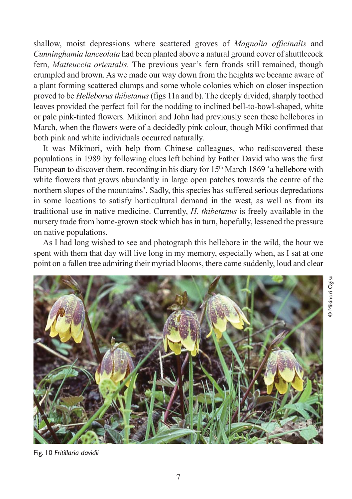shallow, moist depressions where scattered groves of *Magnolia officinalis* and *Cunninghamia lanceolata* had been planted above a natural ground cover of shuttlecock fern, *Matteuccia orientalis.* The previous year's fern fronds still remained, though crumpled and brown. As we made our way down from the heights we became aware of a plant forming scattered clumps and some whole colonies which on closer inspection proved to be *Helleborus thibetanus*(figs 11a and b). The deeply divided, sharply toothed leaves provided the perfect foil for the nodding to inclined bell-to-bowl-shaped, white or pale pink-tinted flowers. Mikinori and John had previously seen these hellebores in March, when the flowers were of a decidedly pink colour, though Miki confirmed that both pink and white individuals occurred naturally.

It was Mikinori, with help from Chinese colleagues, who rediscovered these populations in 1989 by following clues left behind by Father David who was the first European to discover them, recording in his diary for  $15<sup>th</sup>$  March 1869 'a hellebore with white flowers that grows abundantly in large open patches towards the centre of the northern slopes of the mountains'. Sadly, this species has suffered serious depredations in some locations to satisfy horticultural demand in the west, as well as from its traditional use in native medicine. Currently, *H. thibetanus* is freely available in the nursery trade from home-grown stock which has in turn, hopefully, lessened the pressure on native populations.

As I had long wished to see and photograph this hellebore in the wild, the hour we spent with them that day will live long in my memory, especially when, as I sat at one point on a fallen tree admiring their myriad blooms, there came suddenly, loud and clear



Fig. 10 *Fritillaria davidii*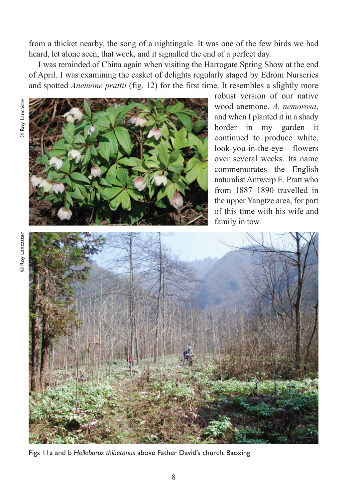from a thicket nearby, the song of a nightingale. It was one of the few birds we had heard, let alone seen, that week, and it signalled the end of a perfect day.

I was reminded of China again when visiting the Harrogate Spring Show at the end of April. I was examining the casket of delights regularly staged by Edrom Nurseries and spotted *Anemone prattii* (fig. 12) for the first time. It resembles a slightly more



robust version of our native wood anemone, *A. nemorosa*, and when I planted it in a shady border in my garden it continued to produce white, look-you-in-the-eye flowers over several weeks. Its name commemorates the English naturalist Antwerp E. Pratt who from 1887–1890 travelled in the upper Yangtze area, for part of this time with his wife and family in tow.



Figs 11a and b *Helleborus thibetanus* above Father David's church, Baoxing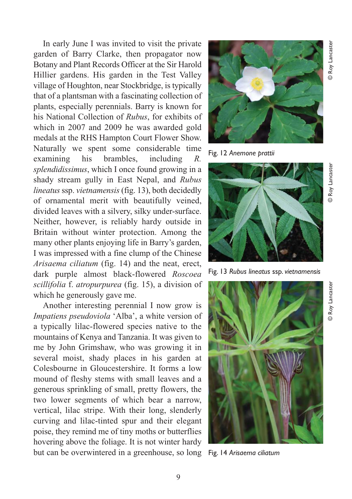Hillier gardens. His garden in the Test Valley village of Houghton, near Stockbridge, is typically that of a plantsman with a fascinating collection of plants, especially perennials. Barry is known for his National Collection of *Rubus*, for exhibits of which in 2007 and 2009 he was awarded gold medals at the RHS Hampton Court Flower Show. Naturally we spent some considerable time examining his brambles, including *R. splendidissimus*, which I once found growing in a shady stream gully in East Nepal, and *Rubus lineatus* ssp. *vietnamensis* (fig. 13), both decidedly of ornamental merit with beautifully veined, divided leaves with a silvery, silky under-surface. Neither, however, is reliably hardy outside in Britain without winter protection. Among the many other plants enjoying life in Barry's garden, I was impressed with a fine clump of the Chinese *Arisaema ciliatum* (fig. 14) and the neat, erect, dark purple almost black-flowered *Roscoea scillifolia* f. *atropurpurea* (fig. 15), a division of which he generously gave me.

In early June I was invited to visit the private garden of Barry Clarke, then propagator now Botany and Plant Records Officer at the Sir Harold

Another interesting perennial I now grow is *Impatiens pseudoviola* 'Alba', a white version of a typically lilac-flowered species native to the mountains of Kenya and Tanzania. It was given to me by John Grimshaw, who was growing it in several moist, shady places in his garden at Colesbourne in Gloucestershire. It forms a low mound of fleshy stems with small leaves and a generous sprinkling of small, pretty flowers, the two lower segments of which bear a narrow, vertical, lilac stripe. With their long, slenderly curving and lilac-tinted spur and their elegant poise, they remind me of tiny moths or butterflies hovering above the foliage. It is not winter hardy but can be overwintered in a greenhouse, so long



Fig. 12 *Anemone prattii*



Fig. 13 *Rubus lineatus* ssp. *vietnamensis*



Fig. 14 *Arisaema ciliatum*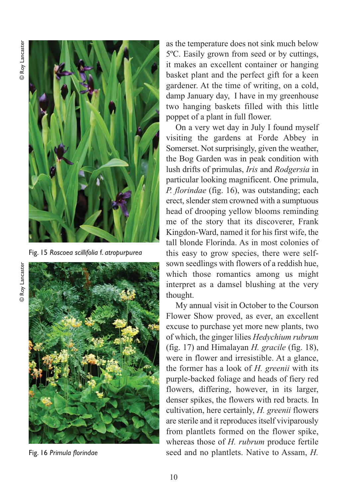

Fig. 15 *Roscoea scillifolia* f. *atropurpurea*

as the temperature does not sink much below 5ºC. Easily grown from seed or by cuttings, it makes an excellent container or hanging basket plant and the perfect gift for a keen gardener. At the time of writing, on a cold, damp January day, I have in my greenhouse two hanging baskets filled with this little poppet of a plant in full flower.

On a very wet day in July I found myself visiting the gardens at Forde Abbey in Somerset. Not surprisingly, given the weather, the Bog Garden was in peak condition with lush drifts of primulas, *Iris* and *Rodgersia* in particular looking magnificent. One primula, *P. florindae* (fig. 16), was outstanding; each erect, slender stem crowned with a sumptuous head of drooping yellow blooms reminding me of the story that its discoverer, Frank Kingdon-Ward, named it for his first wife, the tall blonde Florinda. As in most colonies of this easy to grow species, there were selfsown seedlings with flowers of a reddish hue, which those romantics among us might interpret as a damsel blushing at the very thought.

My annual visit in October to the Courson Flower Show proved, as ever, an excellent excuse to purchase yet more new plants, two of which, the ginger lilies *Hedychium rubrum* (fig. 17) and Himalayan *H. gracile* (fig. 18), were in flower and irresistible. At a glance, the former has a look of *H. greenii* with its purple-backed foliage and heads of fiery red flowers, differing, however, in its larger, denser spikes, the flowers with red bracts. In cultivation, here certainly, *H. greenii* flowers are sterile and it reproduces itself viviparously from plantlets formed on the flower spike, whereas those of *H. rubrum* produce fertile Fig. 16 *Primula florindae* seed and no plantlets. Native to Assam, *H.*